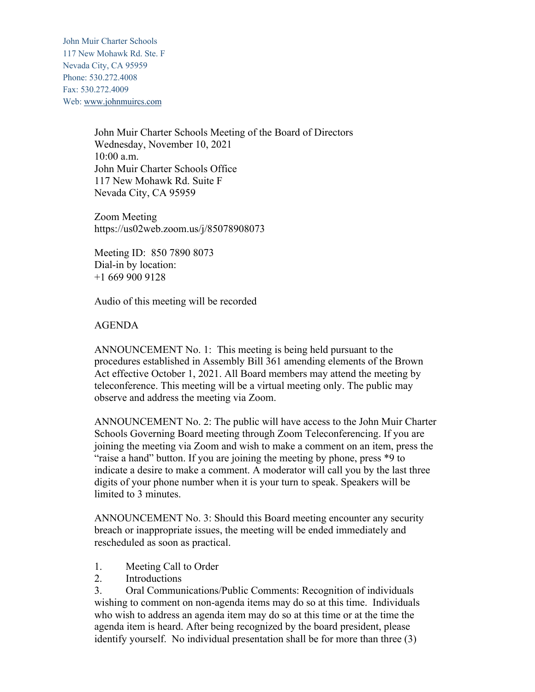John Muir Charter Schools 117 New Mohawk Rd. Ste. F Nevada City, CA 95959 Phone: 530.272.4008 Fax: 530.272.4009 Web: www.johnmuircs.com

> John Muir Charter Schools Meeting of the Board of Directors Wednesday, November 10, 2021 10:00 a.m. John Muir Charter Schools Office 117 New Mohawk Rd. Suite F Nevada City, CA 95959

Zoom Meeting https://us02web.zoom.us/j/85078908073

Meeting ID: 850 7890 8073 Dial-in by location: +1 669 900 9128

Audio of this meeting will be recorded

## AGENDA

ANNOUNCEMENT No. 1: This meeting is being held pursuant to the procedures established in Assembly Bill 361 amending elements of the Brown Act effective October 1, 2021. All Board members may attend the meeting by teleconference. This meeting will be a virtual meeting only. The public may observe and address the meeting via Zoom.

ANNOUNCEMENT No. 2: The public will have access to the John Muir Charter Schools Governing Board meeting through Zoom Teleconferencing. If you are joining the meeting via Zoom and wish to make a comment on an item, press the "raise a hand" button. If you are joining the meeting by phone, press \*9 to indicate a desire to make a comment. A moderator will call you by the last three digits of your phone number when it is your turn to speak. Speakers will be limited to 3 minutes.

ANNOUNCEMENT No. 3: Should this Board meeting encounter any security breach or inappropriate issues, the meeting will be ended immediately and rescheduled as soon as practical.

- 1. Meeting Call to Order
- 2. Introductions

3. Oral Communications/Public Comments: Recognition of individuals wishing to comment on non-agenda items may do so at this time. Individuals who wish to address an agenda item may do so at this time or at the time the agenda item is heard. After being recognized by the board president, please identify yourself. No individual presentation shall be for more than three (3)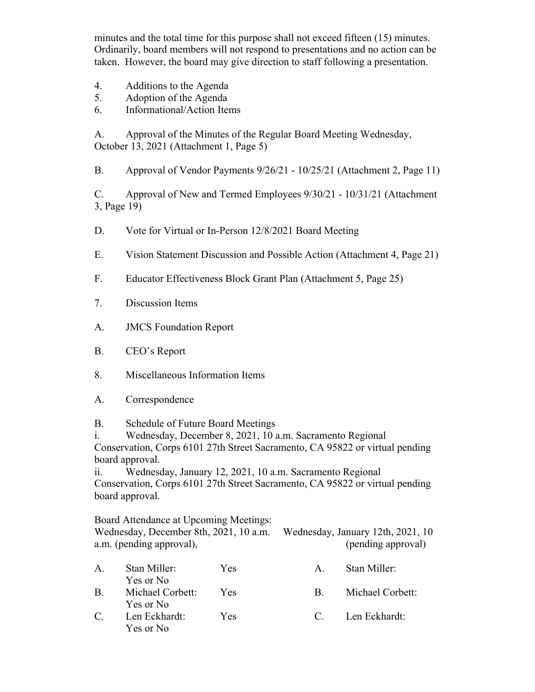minutes and the total time for this purpose shall not exceed fifteen (15) minutes. Ordinarily, board members will not respond to presentations and no action can be taken. However, the board may give direction to staff following a presentation.

- 4. Additions to the Agenda
- 5. Adoption of the Agenda
- 6. Informational/Action Items

A. Approval of the Minutes of the Regular Board Meeting Wednesday, October 13, 2021 (Attachment 1, Page 5)

B. Approval of Vendor Payments 9/26/21 - 10/25/21 (Attachment 2, Page 11)

C. Approval of New and Termed Employees 9/30/21 - 10/31/21 (Attachment 3, Page 19)

- D. Vote for Virtual or In-Person 12/8/2021 Board Meeting
- E. Vision Statement Discussion and Possible Action (Attachment 4, Page 21)
- F. Educator Effectiveness Block Grant Plan (Attachment 5, Page 25)
- 7. Discussion Items
- A. JMCS Foundation Report
- B. CEO's Report
- 8. Miscellaneous Information Items
- A. Correspondence

B. Schedule of Future Board Meetings

i. Wednesday, December 8, 2021, 10 a.m. Sacramento Regional Conservation, Corps 6101 27th Street Sacramento, CA 95822 or virtual pending board approval.

ii. Wednesday, January 12, 2021, 10 a.m. Sacramento Regional Conservation, Corps 6101 27th Street Sacramento, CA 95822 or virtual pending board approval.

Board Attendance at Upcoming Meetings: Wednesday, December 8th, 2021, 10 a.m. Wednesday, January 12th, 2021, 10 a.m. (pending approval),  $(\text{pending approval})$ 

| $A_{\cdot}$           | Stan Miller:<br>Yes or No     | Yes.       | $\mathbf{A}_{\perp}$ | Stan Miller:     |
|-----------------------|-------------------------------|------------|----------------------|------------------|
| $\mathbf{B}$ .        | Michael Corbett:<br>Yes or No | Yes        | R.                   | Michael Corbett: |
| $\mathcal{C}_{\cdot}$ | Len Eckhardt:<br>Yes or No    | <b>Yes</b> | $\mathbf{C}$         | Len Eckhardt:    |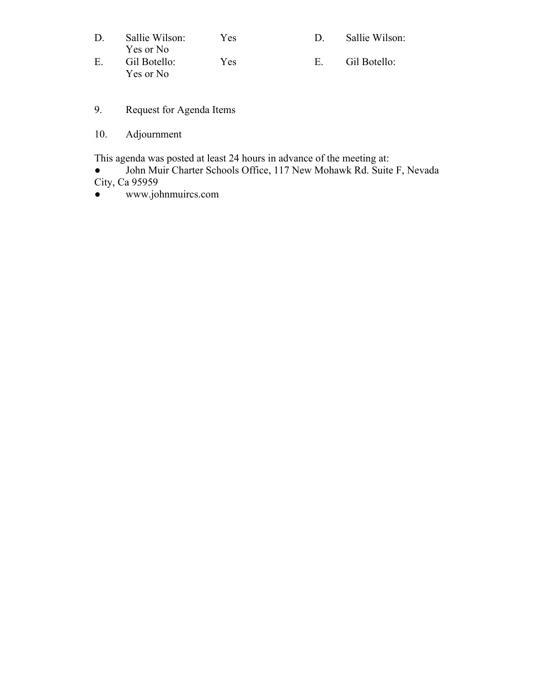| D.          | Sallie Wilson: | Yes  |    | Sallie Wilson: |
|-------------|----------------|------|----|----------------|
|             | Yes or No      |      |    |                |
| $E_{\rm c}$ | Gil Botello:   | Yes. | H. | Gil Botello:   |
|             | Yes or No      |      |    |                |

- 9. Request for Agenda Items
- 10. Adjournment

This agenda was posted at least 24 hours in advance of the meeting at:

• John Muir Charter Schools Office, 117 New Mohawk Rd. Suite F, Nevada City, Ca 95959

● www.johnmuircs.com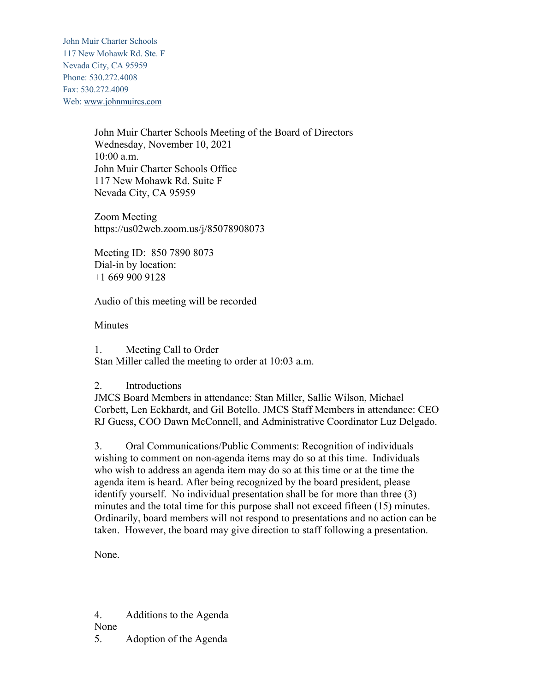John Muir Charter Schools 117 New Mohawk Rd. Ste. F Nevada City, CA 95959 Phone: 530.272.4008 Fax: 530.272.4009 Web: www.johnmuircs.com

> John Muir Charter Schools Meeting of the Board of Directors Wednesday, November 10, 2021 10:00 a.m. John Muir Charter Schools Office 117 New Mohawk Rd. Suite F Nevada City, CA 95959

Zoom Meeting https://us02web.zoom.us/j/85078908073

Meeting ID: 850 7890 8073 Dial-in by location: +1 669 900 9128

Audio of this meeting will be recorded

**Minutes** 

1. Meeting Call to Order Stan Miller called the meeting to order at 10:03 a.m.

2. Introductions

JMCS Board Members in attendance: Stan Miller, Sallie Wilson, Michael Corbett, Len Eckhardt, and Gil Botello. JMCS Staff Members in attendance: CEO RJ Guess, COO Dawn McConnell, and Administrative Coordinator Luz Delgado.

3. Oral Communications/Public Comments: Recognition of individuals wishing to comment on non-agenda items may do so at this time. Individuals who wish to address an agenda item may do so at this time or at the time the agenda item is heard. After being recognized by the board president, please identify yourself. No individual presentation shall be for more than three (3) minutes and the total time for this purpose shall not exceed fifteen (15) minutes. Ordinarily, board members will not respond to presentations and no action can be taken. However, the board may give direction to staff following a presentation.

None.

4. Additions to the Agenda None

5. Adoption of the Agenda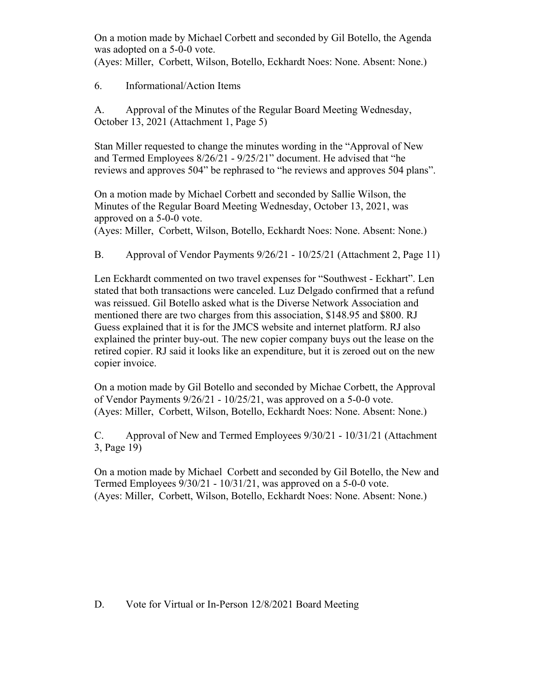On a motion made by Michael Corbett and seconded by Gil Botello, the Agenda was adopted on a 5-0-0 vote.

(Ayes: Miller, Corbett, Wilson, Botello, Eckhardt Noes: None. Absent: None.)

6. Informational/Action Items

A. Approval of the Minutes of the Regular Board Meeting Wednesday, October 13, 2021 (Attachment 1, Page 5)

Stan Miller requested to change the minutes wording in the "Approval of New and Termed Employees 8/26/21 - 9/25/21" document. He advised that "he reviews and approves 504" be rephrased to "he reviews and approves 504 plans".

On a motion made by Michael Corbett and seconded by Sallie Wilson, the Minutes of the Regular Board Meeting Wednesday, October 13, 2021, was approved on a 5-0-0 vote.

(Ayes: Miller, Corbett, Wilson, Botello, Eckhardt Noes: None. Absent: None.)

B. Approval of Vendor Payments 9/26/21 - 10/25/21 (Attachment 2, Page 11)

Len Eckhardt commented on two travel expenses for "Southwest - Eckhart". Len stated that both transactions were canceled. Luz Delgado confirmed that a refund was reissued. Gil Botello asked what is the Diverse Network Association and mentioned there are two charges from this association, \$148.95 and \$800. RJ Guess explained that it is for the JMCS website and internet platform. RJ also explained the printer buy-out. The new copier company buys out the lease on the retired copier. RJ said it looks like an expenditure, but it is zeroed out on the new copier invoice.

On a motion made by Gil Botello and seconded by Michae Corbett, the Approval of Vendor Payments 9/26/21 - 10/25/21, was approved on a 5-0-0 vote. (Ayes: Miller, Corbett, Wilson, Botello, Eckhardt Noes: None. Absent: None.)

C. Approval of New and Termed Employees 9/30/21 - 10/31/21 (Attachment 3, Page 19)

On a motion made by Michael Corbett and seconded by Gil Botello, the New and Termed Employees 9/30/21 - 10/31/21, was approved on a 5-0-0 vote. (Ayes: Miller, Corbett, Wilson, Botello, Eckhardt Noes: None. Absent: None.)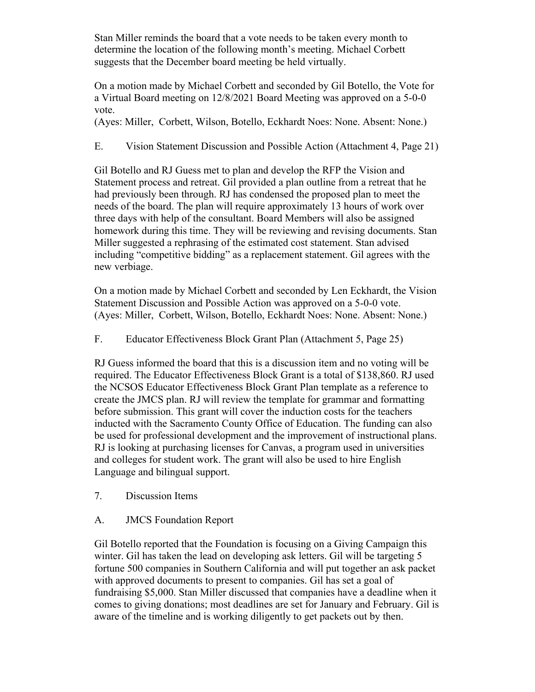Stan Miller reminds the board that a vote needs to be taken every month to determine the location of the following month's meeting. Michael Corbett suggests that the December board meeting be held virtually.

On a motion made by Michael Corbett and seconded by Gil Botello, the Vote for a Virtual Board meeting on 12/8/2021 Board Meeting was approved on a 5-0-0 vote.

(Ayes: Miller, Corbett, Wilson, Botello, Eckhardt Noes: None. Absent: None.)

E. Vision Statement Discussion and Possible Action (Attachment 4, Page 21)

Gil Botello and RJ Guess met to plan and develop the RFP the Vision and Statement process and retreat. Gil provided a plan outline from a retreat that he had previously been through. RJ has condensed the proposed plan to meet the needs of the board. The plan will require approximately 13 hours of work over three days with help of the consultant. Board Members will also be assigned homework during this time. They will be reviewing and revising documents. Stan Miller suggested a rephrasing of the estimated cost statement. Stan advised including "competitive bidding" as a replacement statement. Gil agrees with the new verbiage.

On a motion made by Michael Corbett and seconded by Len Eckhardt, the Vision Statement Discussion and Possible Action was approved on a 5-0-0 vote. (Ayes: Miller, Corbett, Wilson, Botello, Eckhardt Noes: None. Absent: None.)

F. Educator Effectiveness Block Grant Plan (Attachment 5, Page 25)

RJ Guess informed the board that this is a discussion item and no voting will be required. The Educator Effectiveness Block Grant is a total of \$138,860. RJ used the NCSOS Educator Effectiveness Block Grant Plan template as a reference to create the JMCS plan. RJ will review the template for grammar and formatting before submission. This grant will cover the induction costs for the teachers inducted with the Sacramento County Office of Education. The funding can also be used for professional development and the improvement of instructional plans. RJ is looking at purchasing licenses for Canvas, a program used in universities and colleges for student work. The grant will also be used to hire English Language and bilingual support.

7. Discussion Items

## A. JMCS Foundation Report

Gil Botello reported that the Foundation is focusing on a Giving Campaign this winter. Gil has taken the lead on developing ask letters. Gil will be targeting 5 fortune 500 companies in Southern California and will put together an ask packet with approved documents to present to companies. Gil has set a goal of fundraising \$5,000. Stan Miller discussed that companies have a deadline when it comes to giving donations; most deadlines are set for January and February. Gil is aware of the timeline and is working diligently to get packets out by then.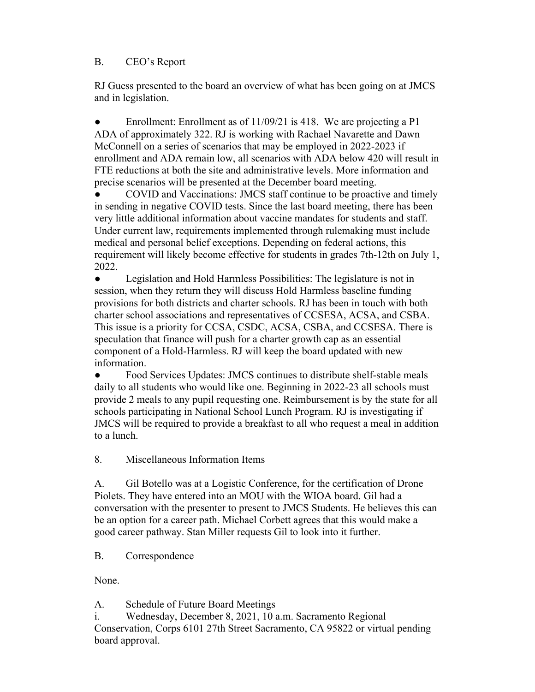## B. CEO's Report

RJ Guess presented to the board an overview of what has been going on at JMCS and in legislation.

Enrollment: Enrollment as of 11/09/21 is 418. We are projecting a P1 ADA of approximately 322. RJ is working with Rachael Navarette and Dawn McConnell on a series of scenarios that may be employed in 2022-2023 if enrollment and ADA remain low, all scenarios with ADA below 420 will result in FTE reductions at both the site and administrative levels. More information and precise scenarios will be presented at the December board meeting.

COVID and Vaccinations: JMCS staff continue to be proactive and timely in sending in negative COVID tests. Since the last board meeting, there has been very little additional information about vaccine mandates for students and staff. Under current law, requirements implemented through rulemaking must include medical and personal belief exceptions. Depending on federal actions, this requirement will likely become effective for students in grades 7th-12th on July 1, 2022.

Legislation and Hold Harmless Possibilities: The legislature is not in session, when they return they will discuss Hold Harmless baseline funding provisions for both districts and charter schools. RJ has been in touch with both charter school associations and representatives of CCSESA, ACSA, and CSBA. This issue is a priority for CCSA, CSDC, ACSA, CSBA, and CCSESA. There is speculation that finance will push for a charter growth cap as an essential component of a Hold-Harmless. RJ will keep the board updated with new information.

• Food Services Updates: JMCS continues to distribute shelf-stable meals daily to all students who would like one. Beginning in 2022-23 all schools must provide 2 meals to any pupil requesting one. Reimbursement is by the state for all schools participating in National School Lunch Program. RJ is investigating if JMCS will be required to provide a breakfast to all who request a meal in addition to a lunch.

8. Miscellaneous Information Items

A. Gil Botello was at a Logistic Conference, for the certification of Drone Piolets. They have entered into an MOU with the WIOA board. Gil had a conversation with the presenter to present to JMCS Students. He believes this can be an option for a career path. Michael Corbett agrees that this would make a good career pathway. Stan Miller requests Gil to look into it further.

B. Correspondence

None.

A. Schedule of Future Board Meetings

i. Wednesday, December 8, 2021, 10 a.m. Sacramento Regional Conservation, Corps 6101 27th Street Sacramento, CA 95822 or virtual pending board approval.